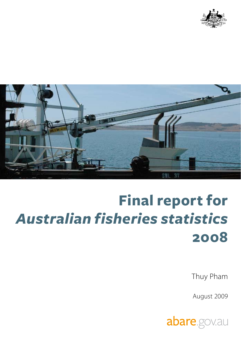



## **Final report for**  *Australian fisheries statistics*  **2008**

Thuy Pham

August 2009

abare.gov.au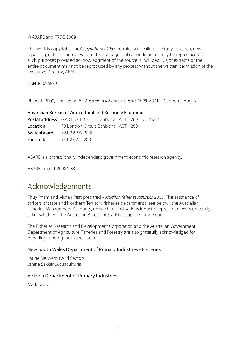#### © ABARE and FRDC 2009

This work is copyright. The *Copyright Act 1968* permits fair dealing for study, research, news reporting, criticism or review. Selected passages, tables or diagrams may be reproduced for such purposes provided acknowledgment of the source is included. Major extracts or the entire document may not be reproduced by any process without the written permission of the Executive Director, ABARE.

ISSN 1037-6879

Pham, T, 2009, *Final report for Australian fisheries statistics 2008*, ABARE, Canberra, August.

| Australian Bureau of Agricultural and Resource Economics |                                                                |  |  |  |  |
|----------------------------------------------------------|----------------------------------------------------------------|--|--|--|--|
|                                                          | <b>Postal address</b> GPO Box 1563 Canberra ACT 2601 Australia |  |  |  |  |
|                                                          | <b>Location</b> 7B London Circuit Canberra ACT 2601            |  |  |  |  |
|                                                          | <b>Switchboard</b> $+61$ 2 6272 2000                           |  |  |  |  |
|                                                          | <b>Facsimile</b> $+61262722001$                                |  |  |  |  |

ABARE is a professionally independent government economic research agency.

ABARE project 2008/233

#### Acknowledgements

Thuy Pham and Alistair Peat prepared *Australian fisheries statistics* 2008. The assistance of officers of state and Northern Territory fisheries departments (see below), the Australian Fisheries Management Authority, researchers and various industry representatives is gratefully acknowledged. The Australian Bureau of Statistics supplied trade data.

The Fisheries Research and Development Corporation and the Australian Government Department of Agriculture Fisheries and Forestry are also gratefully acknowledged for providing funding for this research.

#### New South Wales Department of Primary Industries - Fisheries

Laurie Derwent (Wild Sector) Janine Sakker (Aquaculture)

#### Victoria Department of Primary Industries

Mark Taylor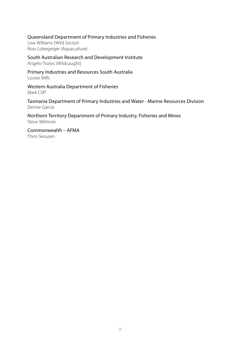Queensland Department of Primary Industries and Fisheries

Lew Williams (Wild Sector) Ross Lobegeiger (Aquaculture)

South Australian Research and Development Institute Angelo Tsolos (Wildcaught)

Primary Industries and Resources South Australia Louise Mills

Western Australia Department of Fisheries Mark Cliff

Tasmania Department of Primary Industries and Water - Marine Resources Division Denise Garcia

Northern Territory Department of Primary Industry, Fisheries and Mines Steve Wilmore

Commonwealth – AFMA Thim Skousen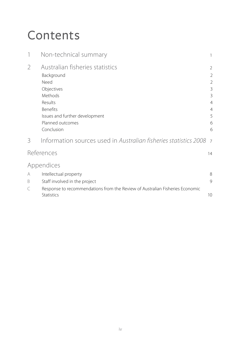### Contents

|                | Non-technical summary                                                                                                                                                            |                                                                                                                 |
|----------------|----------------------------------------------------------------------------------------------------------------------------------------------------------------------------------|-----------------------------------------------------------------------------------------------------------------|
| $\overline{2}$ | Australian fisheries statistics<br>Background<br>Need<br>Objectives<br>Methods<br>Results<br><b>Benefits</b><br>Issues and further development<br>Planned outcomes<br>Conclusion | $\overline{2}$<br>$\overline{2}$<br>$\overline{2}$<br>3<br>3<br>$\overline{4}$<br>$\overline{4}$<br>5<br>6<br>6 |
| 3              | Information sources used in Australian fisheries statistics 2008                                                                                                                 | $\overline{7}$                                                                                                  |
|                | References                                                                                                                                                                       | 14                                                                                                              |
| A<br>B         | Appendices<br>Intellectual property<br>Staff involved in the project                                                                                                             | 8<br>$\mathsf{Q}$                                                                                               |
| C              | Response to recommendations from the Review of Australian Fisheries Economic<br>Statistics                                                                                       | 10 <sup>°</sup>                                                                                                 |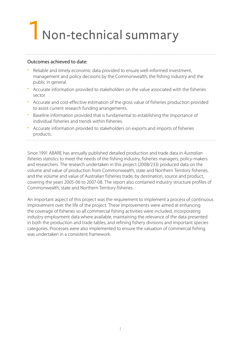### 1 Non-technical summary

#### Outcomes achieved to date:

- Reliable and timely economic data provided to ensure well-informed investment, management and policy decisions by the Commonwealth, the fishing industry and the public in general.
- Accurate information provided to stakeholders on the value associated with the fisheries sector.
- Accurate and cost-effective estimation of the gross value of fisheries production provided to assist current research funding arrangements.
- Baseline information provided that is fundamental to establishing the importance of individual fisheries and trends within fisheries.
- Accurate information provided to stakeholders on exports and imports of fisheries products.

Since 1991 ABARE has annually published detailed production and trade data in *Australian fisheries statistics* to meet the needs of the fishing industry, fisheries managers, policy-makers and researchers. The research undertaken in this project (2008/233) produced data on the volume and value of production from Commonwealth, state and Northern Territory fisheries, and the volume and value of Australian fisheries trade, by destination, source and product, covering the years 2005-06 to 2007-08. The report also contained industry structure profiles of Commonwealth, state and Northern Territory fisheries.

An important aspect of this project was the requirement to implement a process of continuous improvement over the life of the project. These improvements were aimed at enhancing the coverage of fisheries so all commercial fishing activities were included, incorporating industry employment data where available, maintaining the relevance of the data presented in both the production and trade tables, and refining fishery divisions and important species categories. Processes were also implemented to ensure the valuation of commercial fishing was undertaken in a consistent framework.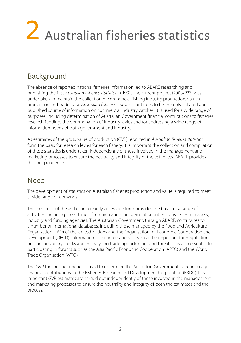# 2 Australian fisheries statistics

#### Background

The absence of reported national fisheries information led to ABARE researching and publishing the first *Australian fisheries statistics* in 1991. The current project (2008/233) was undertaken to maintain the collection of commercial fishing industry production, value of production and trade data. *Australian fisheries statistics* continues to be the only collated and published source of information on commercial industry catches. It is used for a wide range of purposes, including determination of Australian Government financial contributions to fisheries research funding, the determination of industry levies and for addressing a wide range of information needs of both government and industry.

As estimates of the gross value of production (GVP) reported in *Australian fisheries statistics* form the basis for research levies for each fishery, it is important the collection and compilation of these statistics is undertaken independently of those involved in the management and marketing processes to ensure the neutrality and integrity of the estimates. ABARE provides this independence.

#### Need

The development of statistics on Australian fisheries production and value is required to meet a wide range of demands.

The existence of these data in a readily accessible form provides the basis for a range of activities, including the setting of research and management priorities by fisheries managers, industry and funding agencies. The Australian Government, through ABARE, contributes to a number of international databases, including those managed by the Food and Agriculture Organisation (FAO) of the United Nations and the Organisation for Economic Cooperation and Development (OECD). Information at the international level can be important for negotiations on transboundary stocks and in analysing trade opportunities and threats. It is also essential for participating in forums such as the Asia Pacific Economic Cooperation (APEC) and the World Trade Organisation (WTO).

The GVP for specific fisheries is used to determine the Australian Government's and industry financial contributions to the Fisheries Research and Development Corporation (FRDC). It is important GVP estimates are carried out independently of those involved in the management and marketing processes to ensure the neutrality and integrity of both the estimates and the process.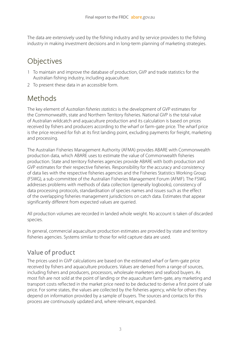The data are extensively used by the fishing industry and by service providers to the fishing industry in making investment decisions and in long-term planning of marketing strategies.

#### **Objectives**

- 1 To maintain and improve the database of production, GVP and trade statistics for the Australian fishing industry, including aquaculture.
- 2 To present these data in an accessible form.

#### Methods

The key element of *Australian fisheries statistics* is the development of GVP estimates for the Commonwealth, state and Northern Territory fisheries. National GVP is the total value of Australian wildcatch and aquaculture production and its calculation is based on prices received by fishers and producers according to the wharf or farm-gate price. The wharf price is the price received for fish at its first landing point, excluding payments for freight, marketing and processing.

The Australian Fisheries Management Authority (AFMA) provides ABARE with Commonwealth production data, which ABARE uses to estimate the value of Commonwealth fisheries production. State and territory fisheries agencies provide ABARE with both production and GVP estimates for their respective fisheries. Responsibility for the accuracy and consistency of data lies with the respective fisheries agencies and the Fisheries Statistics Working Group (FSWG), a sub-committee of the Australian Fisheries Management Forum (AFMF). The FSWG addresses problems with methods of data collection (generally logbooks), consistency of data processing protocols, standardisation of species names and issues such as the effect of the overlapping fisheries management jurisdictions on catch data. Estimates that appear significantly different from expected values are queried.

All production volumes are recorded in landed whole weight. No account is taken of discarded species.

In general, commercial aquaculture production estimates are provided by state and territory fisheries agencies. Systems similar to those for wild capture data are used.

#### Value of product

The prices used in GVP calculations are based on the estimated wharf or farm-gate price received by fishers and aquaculture producers. Values are derived from a range of sources, including fishers and producers, processors, wholesale marketers and seafood buyers. As most fish are not sold at the point of landing or the aquaculture farm-gate, any marketing and transport costs reflected in the market price need to be deducted to derive a first point of sale price. For some states, the values are collected by the fisheries agency, while for others they depend on information provided by a sample of buyers. The sources and contacts for this process are continuously updated and, where relevant, expanded.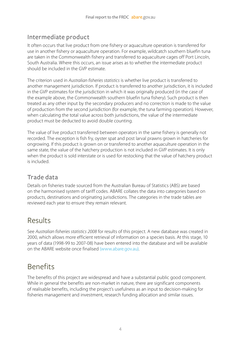#### Intermediate product

It often occurs that live product from one fishery or aquaculture operation is transferred for use in another fishery or aquaculture operation. For example, wildcatch southern bluefin tuna are taken in the Commonwealth fishery and transferred to aquaculture cages off Port Lincoln, South Australia. Where this occurs, an issue arises as to whether the intermediate product should be included in the GVP estimate.

The criterion used in *Australian fisheries statistics* is whether live product is transferred to another management jurisdiction. If product is transferred to another jurisdiction, it is included in the GVP estimates for the jurisdiction in which it was originally produced (in the case of the example above, the Commonwealth southern bluefin tuna fishery). Such product is then treated as any other input by the secondary producers and no correction is made to the value of production from the second jurisdiction (for example, the tuna farming operation). However, when calculating the total value across both jurisdictions, the value of the intermediate product must be deducted to avoid double counting.

The value of live product transferred between operators in the same fishery is generally not recorded. The exception is fish fry, oyster spat and post larval prawns grown in hatcheries for ongrowing. If this product is grown on or transferred to another aquaculture operation in the same state, the value of the hatchery production is not included in GVP estimates. It is only when the product is sold interstate or is used for restocking that the value of hatchery product is included.

#### Trade data

Details on fisheries trade sourced from the Australian Bureau of Statistics (ABS) are based on the harmonised system of tariff codes. ABARE collates the data into categories based on products, destinations and originating jurisdictions. The categories in the trade tables are reviewed each year to ensure they remain relevant.

#### Results

See *Australian fisheries statistics 2008* for results of this project. A new database was created in 2000, which allows more efficient retrieval of information on a species basis. At this stage, 10 years of data (1998-99 to 2007-08) have been entered into the database and will be available on the ABARE website once finalised [\(www.abare.gov.a](http://www.abare.gov.au)u).

#### Benefits

The benefits of this project are widespread and have a substantial public good component. While in general the benefits are non-market in nature, there are significant components of realisable benefits, including the project's usefulness as an input to decision-making for fisheries management and investment, research funding allocation and similar issues.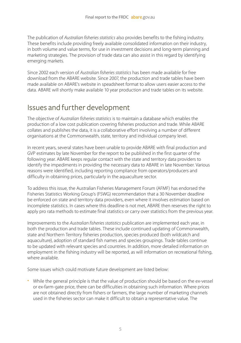The publication of *Australian fisheries statistics* also provides benefits to the fishing industry. These benefits include providing freely available consolidated information on their industry, in both volume and value terms, for use in investment decisions and long-term planning and marketing strategies. The provision of trade data can also assist in this regard by identifying emerging markets.

Since 2002 each version of *Australian fisheries statistics* has been made available for free download from the ABARE website. Since 2007, the production and trade tables have been made available on ABARE's website in speadsheet format to allow users easier access to the data. ABARE will shortly make available 10 year production and trade tables on its website.

#### Issues and further development

The objective of *Australian fisheries statistics* is to maintain a database which enables the production of a low cost publication covering fisheries production and trade. While ABARE collates and publishes the data, it is a collaborative effort involving a number of different organisations at the Commonwealth, state, territory and individual company level.

In recent years, several states have been unable to provide ABARE with final production and GVP estimates by late November for the report to be published in the first quarter of the following year. ABARE keeps regular contact with the state and territory data providers to identify the impediments in providing the necessary data to ABARE in late November. Various reasons were identified, including reporting compliance from operators/producers and difficulty in obtaining prices, particularly in the aquaculture sector.

To address this issue, the Australian Fisheries Management Forum (AFMF) has endorsed the Fisheries Statistics Working Group's (FSWG) recommendation that a 30 November deadline be enforced on state and territory data providers, even where it involves estimation based on incomplete statistics. In cases where this deadline is not met, ABARE then reserves the right to apply pro rata methods to estimate final statistics or carry over statistics from the previous year.

Improvements to the *Australian fisheries statistics* publication are implemented each year, in both the production and trade tables. These include continued updating of Commonwealth, state and Northern Territory fisheries production, species produced (both wildcatch and aquaculture), adoption of standard fish names and species groupings. Trade tables continue to be updated with relevant species and countries. In addition, more detailed information on employment in the fishing industry will be reported, as will information on recreational fishing, where available.

Some issues which could motivate future development are listed below:

• While the general principle is that the value of production should be based on the ex-vessel or ex-farm-gate price, there can be difficulties in obtaining such information. Where prices are not obtained directly from fishers or farmers, the large number of marketing channels used in the fisheries sector can make it difficult to obtain a representative value. The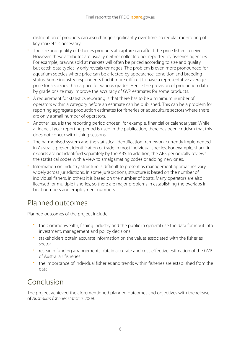distribution of products can also change significantly over time, so regular monitoring of key markets is necessary.

- The size and quality of fisheries products at capture can affect the price fishers receive. However, these attributes are usually neither collected nor reported by fisheries agencies. For example, prawns sold at markets will often be priced according to size and quality but catch data typically only reveals tonnages. The problem is even more pronounced for aquarium species where price can be affected by appearance, condition and breeding status. Some industry respondents find it more difficult to have a representative average price for a species than a price for various grades. Hence the provision of production data by grade or size may improve the accuracy of GVP estimates for some products.
- A requirement for statistics reporting is that there has to be a minimum number of operators within a category before an estimate can be published. This can be a problem for reporting aggregate production estimates for fisheries or aquaculture sectors where there are only a small number of operators.
- Another issue is the reporting period chosen, for example, financial or calendar year. While a financial year reporting period is used in the publication, there has been criticism that this does not concur with fishing seasons.
- The harmonised system and the statistical identification framework currently implemented in Australia prevent identification of trade in most individual species. For example, shark fin exports are not identified separately by the ABS. In addition, the ABS periodically reviews the statistical codes with a view to amalgamating codes or adding new ones.
- Information on industry structure is difficult to present as management approaches vary widely across jurisdictions. In some jurisdictions, structure is based on the number of individual fishers, in others it is based on the number of boats. Many operators are also licensed for multiple fisheries, so there are major problems in establishing the overlaps in boat numbers and employment numbers.

#### Planned outcomes

Planned outcomes of the project include:

- the Commonwealth, fishing industry and the public in general use the data for input into investment, management and policy decisions
- stakeholders obtain accurate information on the values associated with the fisheries sector
- research funding arrangements obtain accurate and cost-effective estimation of the GVP of Australian fisheries
- the importance of individual fisheries and trends within fisheries are established from the data.

#### Conclusion

The project achieved the aforementioned planned outcomes and objectives with the release of *Australian fisheries statistics* 2008.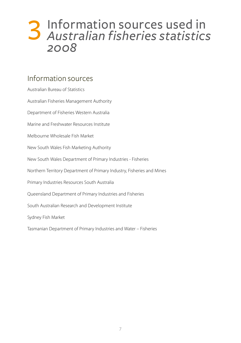# 3 Information sources used in *Australian fisheries statistics 2008*

#### Information sources

| Australian Bureau of Statistics                                        |
|------------------------------------------------------------------------|
| Australian Fisheries Management Authority                              |
| Department of Fisheries Western Australia                              |
| Marine and Freshwater Resources Institute                              |
| Melbourne Wholesale Fish Market                                        |
| New South Wales Fish Marketing Authority                               |
| New South Wales Department of Primary Industries - Fisheries           |
| Northern Territory Department of Primary Industry, Fisheries and Mines |
| Primary Industries Resources South Australia                           |
| Queensland Department of Primary Industries and Fisheries              |
| South Australian Research and Development Institute                    |
| Sydney Fish Market                                                     |
| Tasmanian Department of Primary Industries and Water - Fisheries       |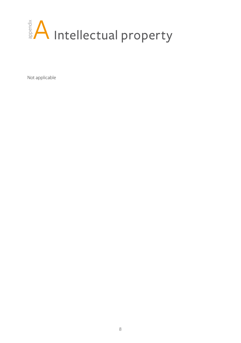

Not applicable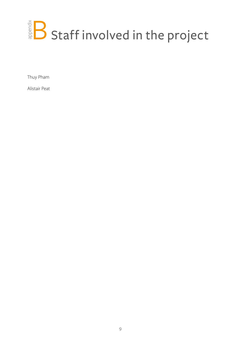# $\mathbb{R}^{\frac{3}{8}}$  Staff involved in the project

Thuy Pham

Alistair Peat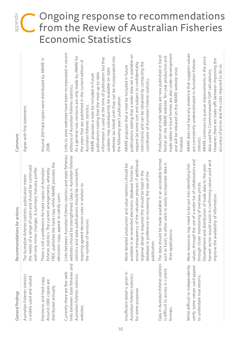#### C Ongoing response to recommendations from the Review of Australian Fisheries Economic Statistics appendix

| General findings                                                                                                 | Recommendations for actions                                                                                                                                                                                                                                                                                                                 | Comment                                                                                                                                                                                                                                                                                                                                                                                                                                                                                                                                                                         |
|------------------------------------------------------------------------------------------------------------------|---------------------------------------------------------------------------------------------------------------------------------------------------------------------------------------------------------------------------------------------------------------------------------------------------------------------------------------------|---------------------------------------------------------------------------------------------------------------------------------------------------------------------------------------------------------------------------------------------------------------------------------------------------------------------------------------------------------------------------------------------------------------------------------------------------------------------------------------------------------------------------------------------------------------------------------|
| Australian fisheries statistics<br>is widely used and valued.                                                    | the needs of a range of users and should be continued<br>with only minor changes. A summary 'industry profile'.<br>The Australian fisheries statistics publication meets                                                                                                                                                                    | Agree with first statement.                                                                                                                                                                                                                                                                                                                                                                                                                                                                                                                                                     |
| Electronic and hard copy.<br>Around 2000 copies are<br>distributed annually.                                     | FRDC publishes the hard copy while ABARE provides the<br>There is still a preference for hard copies of Australian<br>fisheries statistics. The current arrangements, whereby<br>electronic copy, appear to satisfy users.                                                                                                                  | Around 200 hard copies were distributed by ABARE in<br>2008.                                                                                                                                                                                                                                                                                                                                                                                                                                                                                                                    |
| links between state fisheries and<br>Currently there are few web<br>Australian fisheries statistics<br>websites. | Links between Australian fisheries statistics and state fisheries<br>websites should be strengthened. Data in Australian fisheries<br>statistics and state publications should be consistent,<br>requiring agreed decision rules in relation to<br>the number of revisions.                                                                 | Links to state websites have been incorporated in recent<br>As a general rule, revisions are only made by ABARE for<br>websites (as listed) until they can be incorporated into<br>information is used at the time of publication but that<br>the years that are published in the current edition of<br>updates may subsequently be available on state<br>publications stating that the most up-to-date<br>ABARE proposes a note be included in future<br>editions of Australian fisheries statistics.<br>the following year's publication.<br>Australian fisheries statistics. |
| Insufficient detail is given in<br>Australian fisheries statistics<br>for some purposes.                         | ensure transparency of the valuation process. If additional<br>More detailed production and value statistics should be<br>available in an extended electronic database format to<br>regional detail is required this should be kept in the<br>database in preference to increasing the size of the<br>publication.                          | publications stating that a wider data set is available on<br>restrictions) and can be obtained by contacting the<br>request (at some cost and subject to confidentiality<br>ABARE proposes that a note be included in future<br>coordinator of Australian fisheries statistics.                                                                                                                                                                                                                                                                                                |
| Data in Australian fisheries statistics<br>is difficult to access in current<br>formats.                         | The data should be made available in an accessible format,<br>such as Excel, to allow users to easily incorporate data in<br>their applications.                                                                                                                                                                                            | trade tables in Excel format are also under development<br>Production and trade tables are now published in Excel<br>format on the ABARE website. Ten year production and<br>and will be released on the ABARE website once<br>finalised.                                                                                                                                                                                                                                                                                                                                       |
| While difficult to independently<br>verify, some values used appear<br>to understate true returns.               | values, through the use of a wider list of collaborators and<br>harvest sector would assist in confirming values used and<br>More resources may need to be put into identifying fish<br>Development and distribution of trade data to the post<br>through closer monitoring of overseas prices.<br>improve the availability of information. | ABARE does not have any evidence that suggests values<br>ABARE continues to pursue improvements in the price<br>However, there are trade-offs between improving the<br>are consistently underestimated in Australian fisheries<br>accuracy of prices and the costs required to do so.<br>data used for Commonwealth GVP calculations.<br>statistics.                                                                                                                                                                                                                            |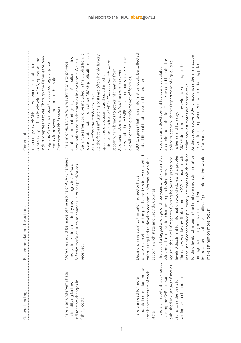| General findings                                                                                                                                              | Recommendations for actions                                                                                                                                                                                                                                                                                                                                                                                                                                                                                                                                                              | Comment                                                                                                                                                                                                                                                                                                                                                                                                                                                                                                                                                                                                                                                                                                                                |
|---------------------------------------------------------------------------------------------------------------------------------------------------------------|------------------------------------------------------------------------------------------------------------------------------------------------------------------------------------------------------------------------------------------------------------------------------------------------------------------------------------------------------------------------------------------------------------------------------------------------------------------------------------------------------------------------------------------------------------------------------------------|----------------------------------------------------------------------------------------------------------------------------------------------------------------------------------------------------------------------------------------------------------------------------------------------------------------------------------------------------------------------------------------------------------------------------------------------------------------------------------------------------------------------------------------------------------------------------------------------------------------------------------------------------------------------------------------------------------------------------------------|
|                                                                                                                                                               |                                                                                                                                                                                                                                                                                                                                                                                                                                                                                                                                                                                          | industry representatives. Through the Fisheries Survey<br>contacts by liaising closely with AFMA, operators and<br>Program, ABARE has recently secured regular price<br>In recent years, ABARE has widened its list of price<br>reports from several operators in the major<br>Commonwealth fisheries.                                                                                                                                                                                                                                                                                                                                                                                                                                 |
| here is an under-emphasis<br>influencing changes in<br>on identifying factors<br>fishing costs.                                                               | More use should be made of the results of ABARE fisheries<br>surveys in relation to industry cost changes in Australian<br>fisheries statistics, such as changes in prices paid/prices<br>received                                                                                                                                                                                                                                                                                                                                                                                       | is easily obtainable from other ABARE publications such<br>fuel price series could be included in the publication, it<br>As the factors influencing costs are often highly fishery<br>a publication that brings together Australian fisheries<br>report and other ABARE research reports to assess the<br>production and trade statistics in one report. While a<br>publications such as ABARE's Fishery economic status<br>The aim of Australian fisheries statistics is to provide<br>report, which brings together information from<br>Australian fisheries statistics, the Fisheries survey<br>specific, the discussion is addressed in other<br>overall economic performance of fisheries.<br>as Australian commodity statistics. |
| economic information on the<br>post harvest sectors of each<br>There is a need for more<br>state.                                                             | downstream effects on the post-harvest sector. A concerted<br>effort is required to develop economic information on this<br>Decisions in relation to the catching sector have<br>sector in each state and provide updates.                                                                                                                                                                                                                                                                                                                                                               | ABARE agrees that more information could be collected<br>but additional funding would be required                                                                                                                                                                                                                                                                                                                                                                                                                                                                                                                                                                                                                                      |
| There are important weaknesses<br>published in Australian fisheries<br>in using the GVP estimates<br>setting research funding.<br>statistics as the basis for | evels. Adjustment for information would address this problem.<br>The narrow window available to prepare GVP estimates results<br>in the use of conservative preliminary estimates which reduce<br>funding levels. Changes in the timetable and administrative<br>The use of a lagged average of three years of GVP estimates<br>Improvements in the availability of price information would<br>educes the level of research funding below the prescribed<br>with no adjustments for changes in purchasing power<br>arrangements may reduce this problem.<br>make estimation more robust. | As discussed above, ABARE recognises there is a scope<br>Б<br>according to legislation. This issue could be raised as<br>policy question with the Department of Agriculture,<br>ABARE does not have any evidence to suggest the<br>for continual improvements when obtaining price<br>Research and development levies are calculated<br>preliminary estimates are conservative.<br>Fisheries and Forestry.<br>information.                                                                                                                                                                                                                                                                                                             |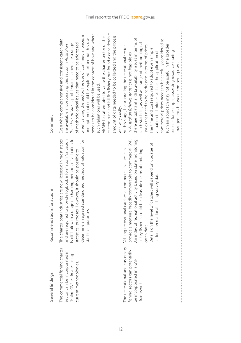| General findings                                                                                                         | Recommendations for actions                                                                                                                                                                                                                                                                                                                                         | Comment                                                                                                                                                                                                                                                                                                                                                                                                                                                                                                                                                                                                                           |
|--------------------------------------------------------------------------------------------------------------------------|---------------------------------------------------------------------------------------------------------------------------------------------------------------------------------------------------------------------------------------------------------------------------------------------------------------------------------------------------------------------|-----------------------------------------------------------------------------------------------------------------------------------------------------------------------------------------------------------------------------------------------------------------------------------------------------------------------------------------------------------------------------------------------------------------------------------------------------------------------------------------------------------------------------------------------------------------------------------------------------------------------------------|
| The commercial fishing charter<br>sector can be incorporated in<br>fishing GVP estimates using<br>current methodologies. | is difficult with a range of charging methods of valuation for<br>The charter boat industries are now licensed in most states<br>and are required to provide logbook information. Valuation<br>determine an agreed standardised method of valuation for<br>statistical purposes. However, it should be possible to<br>statistical purposes.                         | eastern tuna and billfish fishery but found a considerable<br>needs to be considered in the context of how and where<br>when valuing the sector. The use of commercial prices is<br>amount of data needed to be collected and the process<br>ABARE has attempted to value the charter sector of the<br>one option that could be explored further but this use<br>Even where comprehensive and consistent catch data<br>of methodological issues that need to be addressed<br>fisheries statistics is problematic as there are a range<br>are available, incorporating this sector in Australian<br>such valuations will be used.  |
| The recreational and customary<br>fishing sectors can potentially<br>be incorporated in a GVP<br>framework.              | provide a measure broadly comparable to commercial GVP.<br>An index of recreational activity based on state monitoring<br>Details on the level of catches will depend on updates of<br>Valuing recreational catches at commercial values can<br>of key fisheries could be a feasible means of updating<br>national recreational fishing survey data.<br>catch data. | there are substantial data availability issues in terms of<br>commercial prices needs to be carefully considered as<br>catch statistics, as well as a range of methodological<br>such an approach may not be useful in the broader<br>issues that need to be addressed in terms of prices.<br>At this stage, incorporating the recreational sector<br>The time and cost required to adopt even simple<br>sense – for example, assessing resource sharing<br>valuation techniques such as the application of<br>in Australian fisheries statistics is not feasible as<br>arrangements between competing users.<br>was very costly. |
|                                                                                                                          |                                                                                                                                                                                                                                                                                                                                                                     |                                                                                                                                                                                                                                                                                                                                                                                                                                                                                                                                                                                                                                   |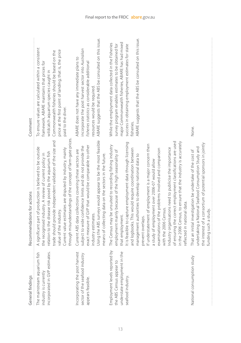| General findings                                                                                               | Recommendations for actions                                                                                                                                                                                                                                                                                                                                                                                                                                                                                                                                                                                                                                                                                                                                     | Comment                                                                                                                                                                                                                                                                                          |
|----------------------------------------------------------------------------------------------------------------|-----------------------------------------------------------------------------------------------------------------------------------------------------------------------------------------------------------------------------------------------------------------------------------------------------------------------------------------------------------------------------------------------------------------------------------------------------------------------------------------------------------------------------------------------------------------------------------------------------------------------------------------------------------------------------------------------------------------------------------------------------------------|--------------------------------------------------------------------------------------------------------------------------------------------------------------------------------------------------------------------------------------------------------------------------------------------------|
| The mainstream aquarium fish<br>incorporated in GVP estimates.<br>industry is currently                        | through misunderstandings of the concept of farm-gate prices<br>trade should provide independent validation of the size and<br>A significant part of production is believed to be outside<br>Current value estimates are disputed by industry, mainly<br>relation to the disease risk posed by the aquarium fish<br>the recognised industry. A review of current policy in<br>value of the industry.                                                                                                                                                                                                                                                                                                                                                            | To ensure values are calculated within a consistent<br>price at the first point of landing; that is, the price<br>Commonwealth fisheries should be based on the<br>framework, ABARE maintains that prices for<br>wildcatch aquarium species caught in<br>paid to the diver.                      |
| Incorporating the post harvest<br>sector of the seafood industry<br>appears feasible.                          | Using the ABS surveys would appear to be the most feasible<br>exact measure of GVP that would be comparable to other<br>subject to wide confidence limits and do not provide the<br>Current ABS data collections covering these sectors are<br>means of collecting data on the sectors in the future.<br>industry estimates.                                                                                                                                                                                                                                                                                                                                                                                                                                    | ABARE suggests that the ABS be consulted on this issue.<br>incorporate the post harvest sector into Australian<br>ABARE does not have any immediate plans to<br>fisheries statistics as considerable additional<br>resources would be required.                                                  |
| Employment levels reported by<br>understate employment in the<br>the ABS Census appear to<br>seafood industry. | of ensuring the correct employment classifications are used<br>in the 2006 Census, to ensure that the industry is accurately<br>It is feasible to capture employment data through licensing<br>If understatement of employment is a major concern then<br>The Census may be unsuited to recording fishing industry<br>Industry organisations need to publicise the importance<br>and logbooks. This would require coordination between<br>examinations of the problems involved and comparison<br>employment mainly because of the high seasonality of<br>management authorities to develop national data to<br>a study of employment over 2006-07 would allow<br>reflected in national data.<br>with the 2006 Census.<br>that employment.<br>prevent overlaps. | ABARE suggests that the ABS be consulted on this issue.<br>major Commonwealth fisheries, ABARE has had mixed<br>While the employment data collected in the Fisheries<br>survey program enables estimates to be obtained for<br>success in obtaining employment estimates for state<br>fisheries. |
| National consumption study                                                                                     | the interest of a consortium of potential sponsors in jointly<br>undertaking a National Seafood Consumption Study and<br>That an initial investigation be undertake of the cost of<br>funding such a study.                                                                                                                                                                                                                                                                                                                                                                                                                                                                                                                                                     | None.                                                                                                                                                                                                                                                                                            |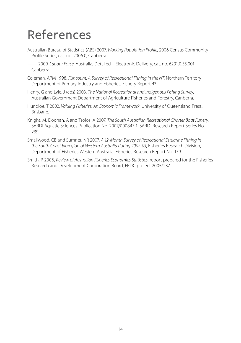## References

- Australian Bureau of Statistics (ABS) 2007, *Working Population Profile*, 2006 Census Community Profile Series, cat. no. 2006.0, Canberra.
- —— 2009, *Labour Force*, Australia, Detailed Electronic Delivery, cat. no. 6291.0.55.001, Canberra.
- Coleman, APM 1998, *Fishcount: A Survey of Recreational Fishing in the NT*, Northern Territory Department of Primary Industry and Fisheries, Fishery Report 43.
- Henry, G and Lyle, J (eds) 2003, *The National Recreational and Indigenous Fishing Survey*, Australian Government Department of Agriculture Fisheries and Forestry, Canberra.
- Hundloe, T 2002, *Valuing Fisheries: An Economic Framework*, University of Queensland Press, Brisbane.
- Knight, M, Doonan, A and Tsolos, A 2007, *The South Australian Recreational Charter Boat Fishery*, SARDI Aquatic Sciences Publication No. 2007/000847-1, SARDI Research Report Series No. 239.
- Smallwood, CB and Sumner, NR 2007, *A 12-Month Survey of Recreational Estuarine Fishing in the South Coast Bioregion of Western Australia during 2002-03*, Fisheries Research Division, Department of Fisheries Western Australia, Fisheries Research Report No. 159.
- Smith, P 2006, *Review of Australian Fisheries Economics Statistics*, report prepared for the Fisheries Research and Development Corporation Board, FRDC project 2005/237.